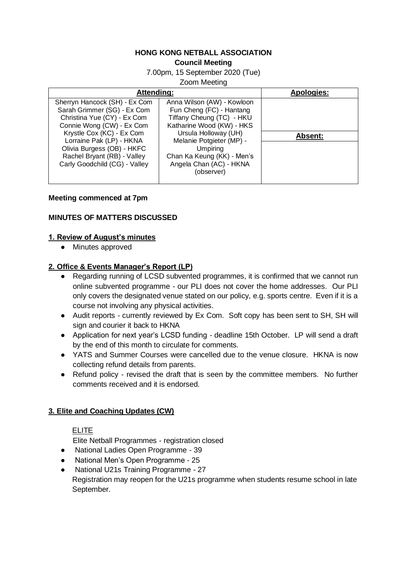#### **HONG KONG NETBALL ASSOCIATION Council Meeting**

7.00pm, 15 September 2020 (Tue)

Zoom Meeting

| Attending:                                                                                                                                                                                                                                                                      |                                                                                                                                                                                                                                                                | <b>Apologies:</b> |
|---------------------------------------------------------------------------------------------------------------------------------------------------------------------------------------------------------------------------------------------------------------------------------|----------------------------------------------------------------------------------------------------------------------------------------------------------------------------------------------------------------------------------------------------------------|-------------------|
| Sherryn Hancock (SH) - Ex Com<br>Sarah Grimmer (SG) - Ex Com<br>Christina Yue (CY) - Ex Com<br>Connie Wong (CW) - Ex Com<br>Krystle Cox (KC) - Ex Com<br>Lorraine Pak (LP) - HKNA<br>Olivia Burgess (OB) - HKFC<br>Rachel Bryant (RB) - Valley<br>Carly Goodchild (CG) - Valley | Anna Wilson (AW) - Kowloon<br>Fun Cheng (FC) - Hantang<br>Tiffany Cheung (TC) - HKU<br>Katharine Wood (KW) - HKS<br>Ursula Holloway (UH)<br>Melanie Potgieter (MP) -<br><b>Umpiring</b><br>Chan Ka Keung (KK) - Men's<br>Angela Chan (AC) - HKNA<br>(observer) | <b>Absent:</b>    |

#### **Meeting commenced at 7pm**

### **MINUTES OF MATTERS DISCUSSED**

### **1. Review of August's minutes**

● Minutes approved

### **2. Office & Events Manager's Report (LP)**

- Regarding running of LCSD subvented programmes, it is confirmed that we cannot run online subvented programme - our PLI does not cover the home addresses. Our PLI only covers the designated venue stated on our policy, e.g. sports centre. Even if it is a course not involving any physical activities.
- Audit reports currently reviewed by Ex Com. Soft copy has been sent to SH, SH will sign and courier it back to HKNA
- Application for next year's LCSD funding deadline 15th October. LP will send a draft by the end of this month to circulate for comments.
- YATS and Summer Courses were cancelled due to the venue closure. HKNA is now collecting refund details from parents.
- Refund policy revised the draft that is seen by the committee members. No further comments received and it is endorsed.

### **3. Elite and Coaching Updates (CW)**

#### ELITE

Elite Netball Programmes - registration closed

- National Ladies Open Programme 39
- National Men's Open Programme 25
- National U21s Training Programme 27 Registration may reopen for the U21s programme when students resume school in late September.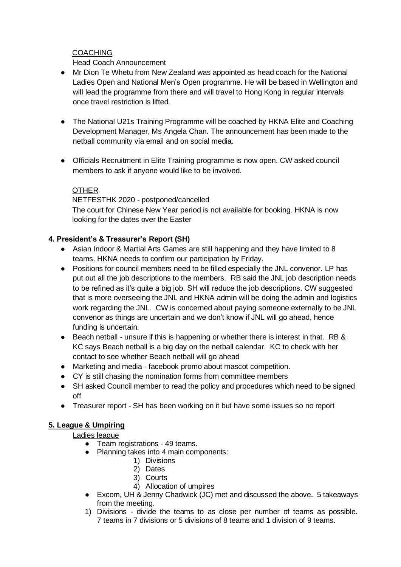### **COACHING**

### Head Coach Announcement

- Mr Dion Te Whetu from New Zealand was appointed as head coach for the National Ladies Open and National Men's Open programme. He will be based in Wellington and will lead the programme from there and will travel to Hong Kong in regular intervals once travel restriction is lifted.
- The National U21s Training Programme will be coached by HKNA Elite and Coaching Development Manager, Ms Angela Chan. The announcement has been made to the netball community via email and on social media.
- Officials Recruitment in Elite Training programme is now open. CW asked council members to ask if anyone would like to be involved.

### **OTHER**

NETFESTHK 2020 - postponed/cancelled The court for Chinese New Year period is not available for booking. HKNA is now looking for the dates over the Easter

## **4. President's & Treasurer's Report (SH)**

- Asian Indoor & Martial Arts Games are still happening and they have limited to 8 teams. HKNA needs to confirm our participation by Friday.
- Positions for council members need to be filled especially the JNL convenor. LP has put out all the job descriptions to the members. RB said the JNL job description needs to be refined as it's quite a big job. SH will reduce the job descriptions. CW suggested that is more overseeing the JNL and HKNA admin will be doing the admin and logistics work regarding the JNL. CW is concerned about paying someone externally to be JNL convenor as things are uncertain and we don't know if JNL will go ahead, hence funding is uncertain.
- Beach netball unsure if this is happening or whether there is interest in that. RB & KC says Beach netball is a big day on the netball calendar. KC to check with her contact to see whether Beach netball will go ahead
- Marketing and media facebook promo about mascot competition.
- CY is still chasing the nomination forms from committee members
- SH asked Council member to read the policy and procedures which need to be signed off
- Treasurer report SH has been working on it but have some issues so no report

# **5. League & Umpiring**

### Ladies league

- Team registrations 49 teams.
- Planning takes into 4 main components:
	- 1) Divisions
	- 2) Dates
	- 3) Courts
	- 4) Allocation of umpires
- Excom, UH & Jenny Chadwick (JC) met and discussed the above. 5 takeaways from the meeting.
- 1) Divisions divide the teams to as close per number of teams as possible. 7 teams in 7 divisions or 5 divisions of 8 teams and 1 division of 9 teams.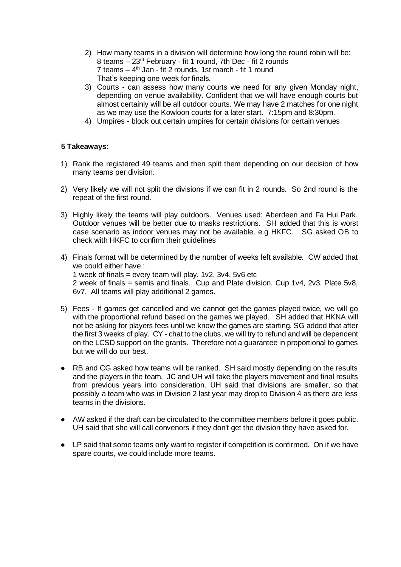- 2) How many teams in a division will determine how long the round robin will be: 8 teams – 23rd February - fit 1 round, 7th Dec - fit 2 rounds 7 teams – 4 th Jan - fit 2 rounds, 1st march - fit 1 round That's keeping one week for finals.
- 3) Courts can assess how many courts we need for any given Monday night, depending on venue availability. Confident that we will have enough courts but almost certainly will be all outdoor courts. We may have 2 matches for one night as we may use the Kowloon courts for a later start. 7:15pm and 8:30pm.
- 4) Umpires block out certain umpires for certain divisions for certain venues

### **5 Takeaways:**

- 1) Rank the registered 49 teams and then split them depending on our decision of how many teams per division.
- 2) Very likely we will not split the divisions if we can fit in 2 rounds. So 2nd round is the repeat of the first round.
- 3) Highly likely the teams will play outdoors. Venues used: Aberdeen and Fa Hui Park. Outdoor venues will be better due to masks restrictions. SH added that this is worst case scenario as indoor venues may not be available, e.g HKFC. SG asked OB to check with HKFC to confirm their guidelines
- 4) Finals format will be determined by the number of weeks left available. CW added that we could either have : 1 week of finals = every team will play.  $1v2$ ,  $3v4$ ,  $5v6$  etc 2 week of finals = semis and finals. Cup and Plate division. Cup 1v4, 2v3. Plate 5v8, 6v7. All teams will play additional 2 games.
- 5) Fees If games get cancelled and we cannot get the games played twice, we will go with the proportional refund based on the games we played. SH added that HKNA will not be asking for players fees until we know the games are starting. SG added that after the first 3 weeks of play. CY - chat to the clubs, we will try to refund and will be dependent on the LCSD support on the grants. Therefore not a guarantee in proportional to games but we will do our best.
- RB and CG asked how teams will be ranked. SH said mostly depending on the results and the players in the team. JC and UH will take the players movement and final results from previous years into consideration. UH said that divisions are smaller, so that possibly a team who was in Division 2 last year may drop to Division 4 as there are less teams in the divisions.
- AW asked if the draft can be circulated to the committee members before it goes public. UH said that she will call convenors if they don't get the division they have asked for.
- LP said that some teams only want to register if competition is confirmed. On if we have spare courts, we could include more teams.